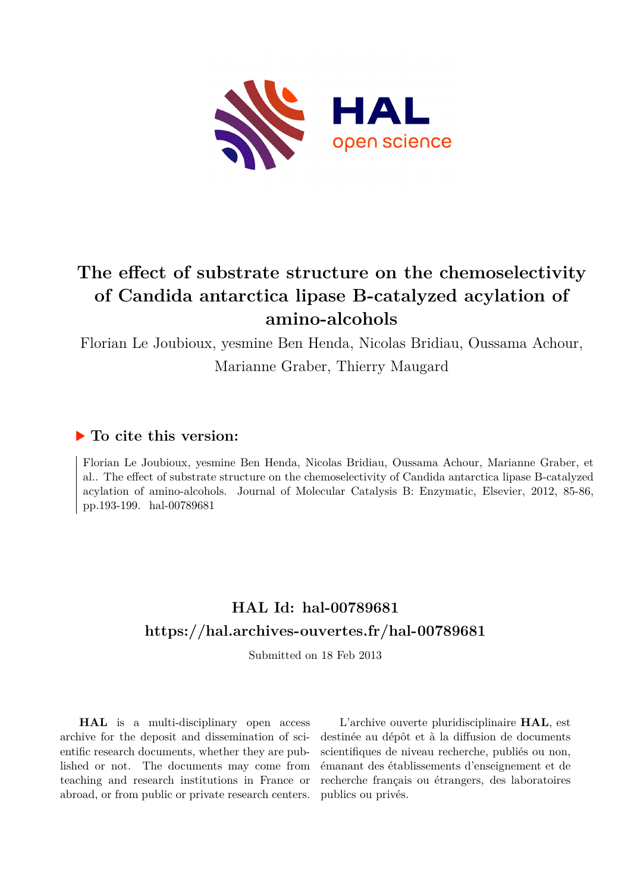

# **The effect of substrate structure on the chemoselectivity of Candida antarctica lipase B-catalyzed acylation of amino-alcohols**

Florian Le Joubioux, yesmine Ben Henda, Nicolas Bridiau, Oussama Achour, Marianne Graber, Thierry Maugard

## **To cite this version:**

Florian Le Joubioux, yesmine Ben Henda, Nicolas Bridiau, Oussama Achour, Marianne Graber, et al.. The effect of substrate structure on the chemoselectivity of Candida antarctica lipase B-catalyzed acylation of amino-alcohols. Journal of Molecular Catalysis B: Enzymatic, Elsevier, 2012, 85-86, pp.193-199. hal-00789681

# **HAL Id: hal-00789681 <https://hal.archives-ouvertes.fr/hal-00789681>**

Submitted on 18 Feb 2013

**HAL** is a multi-disciplinary open access archive for the deposit and dissemination of scientific research documents, whether they are published or not. The documents may come from teaching and research institutions in France or abroad, or from public or private research centers.

L'archive ouverte pluridisciplinaire **HAL**, est destinée au dépôt et à la diffusion de documents scientifiques de niveau recherche, publiés ou non, émanant des établissements d'enseignement et de recherche français ou étrangers, des laboratoires publics ou privés.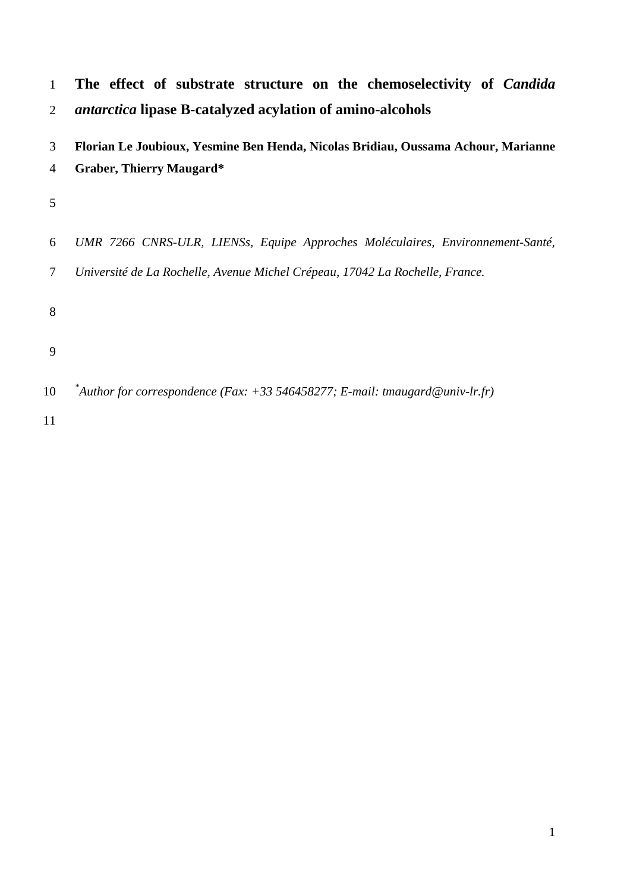| 1                   | The effect of substrate structure on the chemoselectivity of <i>Candida</i>                                          |
|---------------------|----------------------------------------------------------------------------------------------------------------------|
| $\overline{2}$      | <i>antarctica</i> lipase B-catalyzed acylation of amino-alcohols                                                     |
| 3<br>$\overline{4}$ | Florian Le Joubioux, Yesmine Ben Henda, Nicolas Bridiau, Oussama Achour, Marianne<br><b>Graber, Thierry Maugard*</b> |
| 5                   |                                                                                                                      |
| 6                   | UMR 7266 CNRS-ULR, LIENSs, Equipe Approches Moléculaires, Environnement-Santé,                                       |
| $\tau$              | Université de La Rochelle, Avenue Michel Crépeau, 17042 La Rochelle, France.                                         |
| 8                   |                                                                                                                      |
| 9                   |                                                                                                                      |
| 10                  | $^*$ Author for correspondence (Fax: +33 546458277; E-mail: tmaugard@univ-lr.fr)                                     |
| 11                  |                                                                                                                      |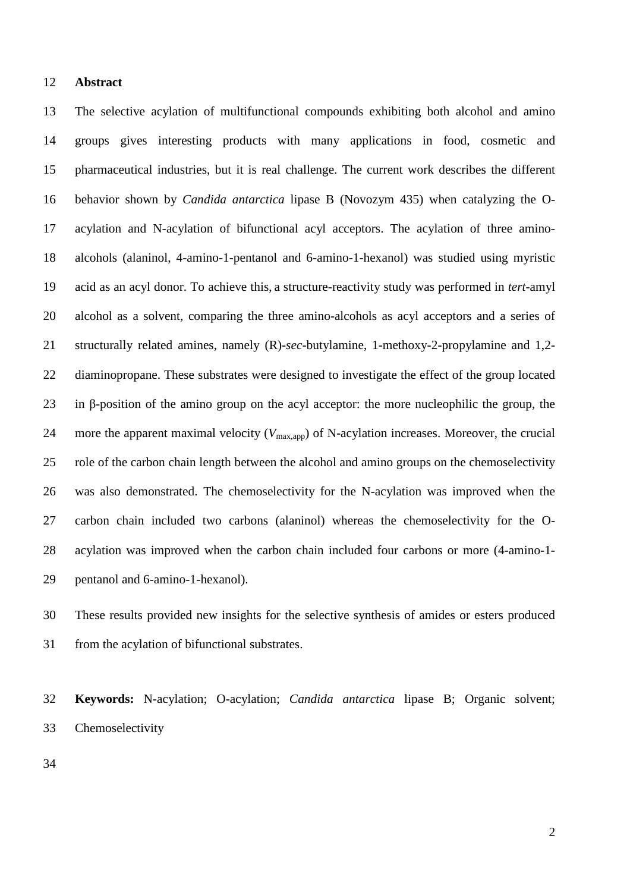#### 12 **Abstract**

13 The selective acylation of multifunctional compounds exhibiting both alcohol and amino 14 groups gives interesting products with many applications in food, cosmetic and 15 pharmaceutical industries, but it is real challenge. The current work describes the different 16 behavior shown by *Candida antarctica* lipase B (Novozym 435) when catalyzing the O-17 acylation and N-acylation of bifunctional acyl acceptors. The acylation of three amino-18 alcohols (alaninol, 4-amino-1-pentanol and 6-amino-1-hexanol) was studied using myristic 19 acid as an acyl donor. To achieve this, a structure-reactivity study was performed in *tert*-amyl 20 alcohol as a solvent, comparing the three amino-alcohols as acyl acceptors and a series of 21 structurally related amines, namely (R)-*sec*-butylamine, 1-methoxy-2-propylamine and 1,2- 22 diaminopropane. These substrates were designed to investigate the effect of the group located 23 in  $\beta$ -position of the amino group on the acyl acceptor: the more nucleophilic the group, the 24 more the apparent maximal velocity ( $V_{\text{max,app}}$ ) of N-acylation increases. Moreover, the crucial 25 role of the carbon chain length between the alcohol and amino groups on the chemoselectivity 26 was also demonstrated. The chemoselectivity for the N-acylation was improved when the 27 carbon chain included two carbons (alaninol) whereas the chemoselectivity for the O-28 acylation was improved when the carbon chain included four carbons or more (4-amino-1- 29 pentanol and 6-amino-1-hexanol).

30 These results provided new insights for the selective synthesis of amides or esters produced 31 from the acylation of bifunctional substrates.

32 **Keywords:** N-acylation; O-acylation; *Candida antarctica* lipase B; Organic solvent; 33 Chemoselectivity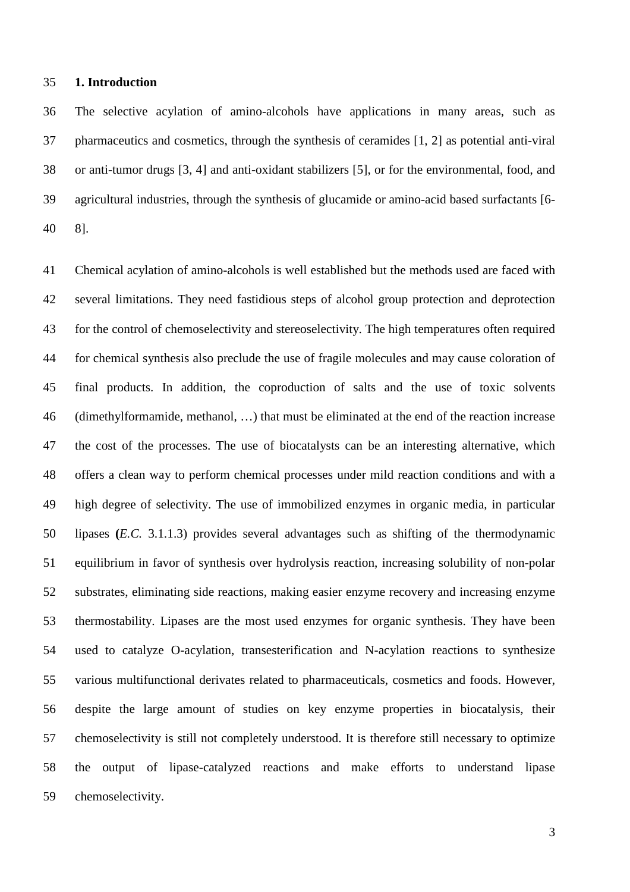#### 35 **1. Introduction**

36 The selective acylation of amino-alcohols have applications in many areas, such as 37 pharmaceutics and cosmetics, through the synthesis of ceramides [1, 2] as potential anti-viral 38 or anti-tumor drugs [3, 4] and anti-oxidant stabilizers [5], or for the environmental, food, and 39 agricultural industries, through the synthesis of glucamide or amino-acid based surfactants [6- 40 8].

41 Chemical acylation of amino-alcohols is well established but the methods used are faced with 42 several limitations. They need fastidious steps of alcohol group protection and deprotection 43 for the control of chemoselectivity and stereoselectivity. The high temperatures often required 44 for chemical synthesis also preclude the use of fragile molecules and may cause coloration of 45 final products. In addition, the coproduction of salts and the use of toxic solvents 46 (dimethylformamide, methanol, …) that must be eliminated at the end of the reaction increase 47 the cost of the processes. The use of biocatalysts can be an interesting alternative, which 48 offers a clean way to perform chemical processes under mild reaction conditions and with a 49 high degree of selectivity. The use of immobilized enzymes in organic media, in particular 50 lipases **(***E.C.* 3.1.1.3) provides several advantages such as shifting of the thermodynamic 51 equilibrium in favor of synthesis over hydrolysis reaction, increasing solubility of non-polar 52 substrates, eliminating side reactions, making easier enzyme recovery and increasing enzyme 53 thermostability. Lipases are the most used enzymes for organic synthesis. They have been 54 used to catalyze O-acylation, transesterification and N-acylation reactions to synthesize 55 various multifunctional derivates related to pharmaceuticals, cosmetics and foods. However, 56 despite the large amount of studies on key enzyme properties in biocatalysis, their 57 chemoselectivity is still not completely understood. It is therefore still necessary to optimize 58 the output of lipase-catalyzed reactions and make efforts to understand lipase 59 chemoselectivity.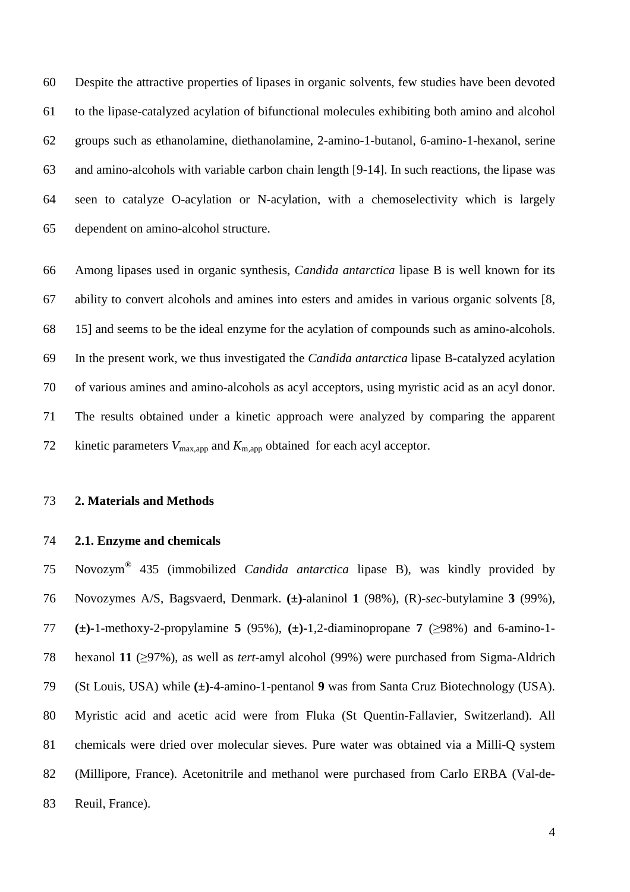60 Despite the attractive properties of lipases in organic solvents, few studies have been devoted 61 to the lipase-catalyzed acylation of bifunctional molecules exhibiting both amino and alcohol 62 groups such as ethanolamine, diethanolamine, 2-amino-1-butanol, 6-amino-1-hexanol, serine 63 and amino-alcohols with variable carbon chain length [9-14]. In such reactions, the lipase was 64 seen to catalyze O-acylation or N-acylation, with a chemoselectivity which is largely 65 dependent on amino-alcohol structure.

66 Among lipases used in organic synthesis, *Candida antarctica* lipase B is well known for its 67 ability to convert alcohols and amines into esters and amides in various organic solvents [8, 68 15] and seems to be the ideal enzyme for the acylation of compounds such as amino-alcohols. 69 In the present work, we thus investigated the *Candida antarctica* lipase B-catalyzed acylation 70 of various amines and amino-alcohols as acyl acceptors, using myristic acid as an acyl donor. 71 The results obtained under a kinetic approach were analyzed by comparing the apparent 72 kinetic parameters  $V_{\text{max,app}}$  and  $K_{\text{m,app}}$  obtained for each acyl acceptor.

#### 73 **2. Materials and Methods**

#### 74 **2.1. Enzyme and chemicals**

Novozym® 75 435 (immobilized *Candida antarctica* lipase B), was kindly provided by 76 Novozymes A/S, Bagsvaerd, Denmark. **(±)-**alaninol **1** (98%), (R)-*sec*-butylamine **3** (99%), 77 ( $\pm$ )-1-methoxy-2-propylamine **5** (95%),  $(\pm)$ -1,2-diaminopropane **7** ( $\geq$ 98%) and 6-amino-1-78 hexanol 11 ( $\geq$ 97%), as well as *tert*-amyl alcohol (99%) were purchased from Sigma-Aldrich 79 (St Louis, USA) while **(±)-**4-amino-1-pentanol **9** was from Santa Cruz Biotechnology (USA). 80 Myristic acid and acetic acid were from Fluka (St Quentin-Fallavier, Switzerland). All 81 chemicals were dried over molecular sieves. Pure water was obtained via a Milli-Q system 82 (Millipore, France). Acetonitrile and methanol were purchased from Carlo ERBA (Val-de-83 Reuil, France).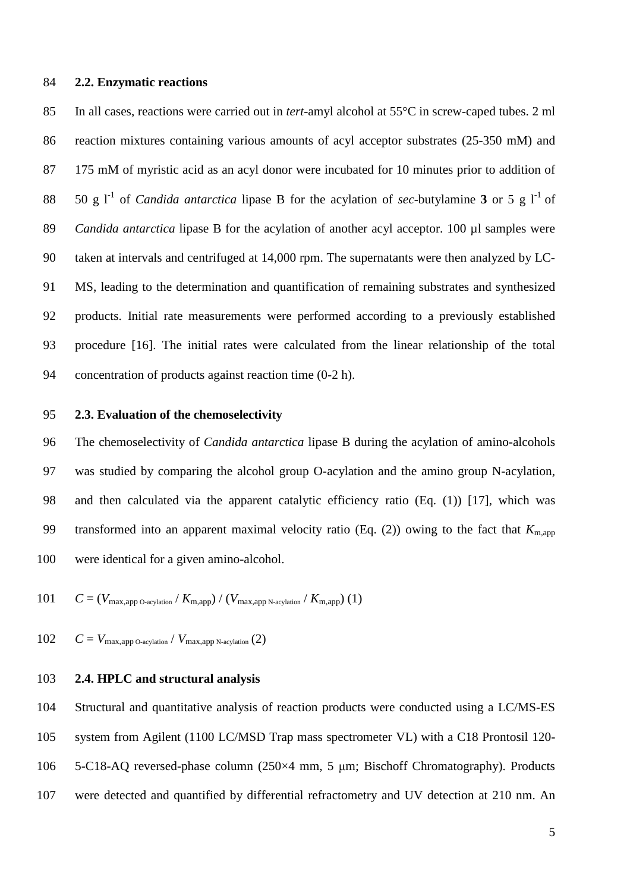#### 84 **2.2. Enzymatic reactions**

85 In all cases, reactions were carried out in *tert*-amyl alcohol at 55°C in screw-caped tubes. 2 ml 86 reaction mixtures containing various amounts of acyl acceptor substrates (25-350 mM) and 87 175 mM of myristic acid as an acyl donor were incubated for 10 minutes prior to addition of 50 g  $I^1$  of *Candida antarctica* lipase B for the acylation of *sec*-butylamine 3 or 5 g  $I^1$  of 89 *Candida antarctica* lipase B for the acylation of another acyl acceptor. 100 µl samples were 90 taken at intervals and centrifuged at 14,000 rpm. The supernatants were then analyzed by LC-91 MS, leading to the determination and quantification of remaining substrates and synthesized 92 products. Initial rate measurements were performed according to a previously established 93 procedure [16]. The initial rates were calculated from the linear relationship of the total 94 concentration of products against reaction time (0-2 h).

#### 95 **2.3. Evaluation of the chemoselectivity**

96 The chemoselectivity of *Candida antarctica* lipase B during the acylation of amino-alcohols 97 was studied by comparing the alcohol group O-acylation and the amino group N-acylation, 98 and then calculated via the apparent catalytic efficiency ratio (Eq. (1)) [17], which was 99 transformed into an apparent maximal velocity ratio (Eq. (2)) owing to the fact that  $K_{\text{m,app}}$ 100 were identical for a given amino-alcohol.

101 
$$
C = (V_{\text{max,app O-acylation}} / K_{\text{m,app}}) / (V_{\text{max,app N-acylation}} / K_{\text{m,app}}) (1)
$$

102  $C = V_{\text{max,app O-acylation}} / V_{\text{max,app N-acylation}}(2)$ 

#### 103 **2.4. HPLC and structural analysis**

104 Structural and quantitative analysis of reaction products were conducted using a LC/MS-ES 105 system from Agilent (1100 LC/MSD Trap mass spectrometer VL) with a C18 Prontosil 120- 106 5-C18-AQ reversed-phase column (250×4 mm, 5 µm; Bischoff Chromatography). Products 107 were detected and quantified by differential refractometry and UV detection at 210 nm. An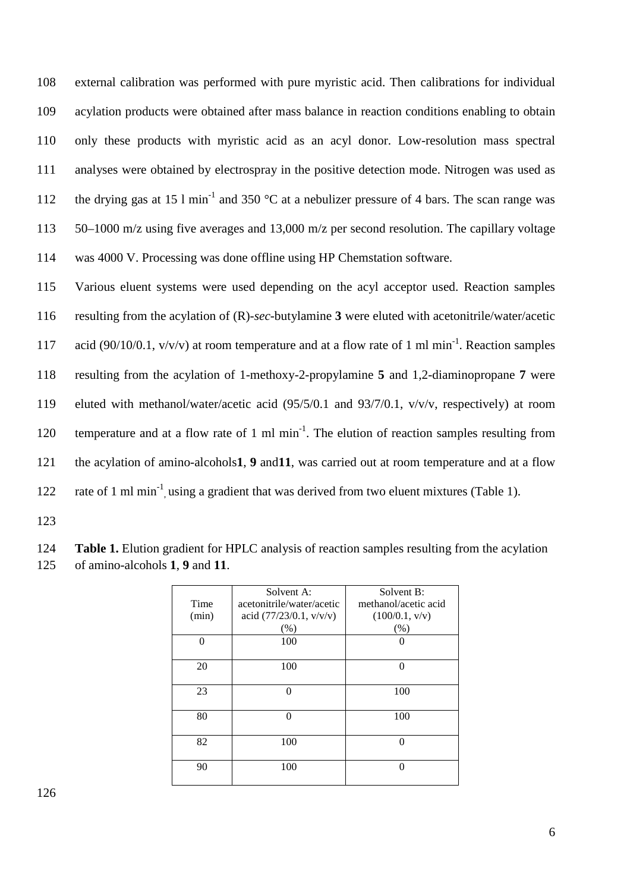108 external calibration was performed with pure myristic acid. Then calibrations for individual 109 acylation products were obtained after mass balance in reaction conditions enabling to obtain 110 only these products with myristic acid as an acyl donor. Low-resolution mass spectral 111 analyses were obtained by electrospray in the positive detection mode. Nitrogen was used as 112 the drying gas at 15 l min<sup>-1</sup> and 350 °C at a nebulizer pressure of 4 bars. The scan range was 113 50–1000 m/z using five averages and 13,000 m/z per second resolution. The capillary voltage 114 was 4000 V. Processing was done offline using HP Chemstation software.

115 Various eluent systems were used depending on the acyl acceptor used. Reaction samples 116 resulting from the acylation of (R)-*sec*-butylamine **3** were eluted with acetonitrile/water/acetic 117 acid (90/10/0.1,  $v/v/v$ ) at room temperature and at a flow rate of 1 ml min<sup>-1</sup>. Reaction samples 118 resulting from the acylation of 1-methoxy-2-propylamine **5** and 1,2-diaminopropane **7** were 119 eluted with methanol/water/acetic acid (95/5/0.1 and 93/7/0.1, v/v/v, respectively) at room 120 temperature and at a flow rate of 1 ml min<sup>-1</sup>. The elution of reaction samples resulting from 121 the acylation of amino-alcohols**1**, **9** and**11**, was carried out at room temperature and at a flow 122 rate of 1 ml min<sup>-1</sup> using a gradient that was derived from two eluent mixtures (Table 1).

123

| 124 | <b>Table 1.</b> Elution gradient for HPLC analysis of reaction samples resulting from the acylation |
|-----|-----------------------------------------------------------------------------------------------------|
|     | 125 of amino-alcohols 1, 9 and 11.                                                                  |

|          | Solvent A:                | Solvent B:           |
|----------|---------------------------|----------------------|
| Time     | acetonitrile/water/acetic | methanol/acetic acid |
| (min)    | acid $(77/23/0.1, v/v/v)$ | (100/0.1, v/v)       |
|          | (% )                      | (%)                  |
| $\theta$ | 100                       | ∩                    |
|          |                           |                      |
| 20       | 100                       | 0                    |
|          |                           |                      |
| 23       |                           | 100                  |
|          |                           |                      |
| 80       | ∩                         | 100                  |
|          |                           |                      |
| 82       | 100                       | 0                    |
|          |                           |                      |
| 90       | 100                       | ∩                    |
|          |                           |                      |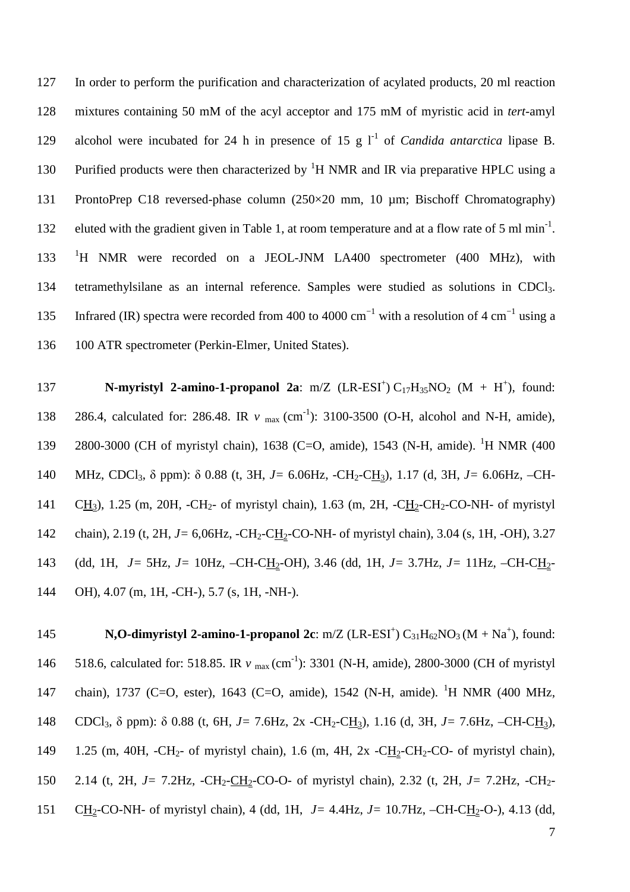127 In order to perform the purification and characterization of acylated products, 20 ml reaction 128 mixtures containing 50 mM of the acyl acceptor and 175 mM of myristic acid in *tert*-amyl 129 alcohol were incubated for 24 h in presence of 15 g  $I<sup>-1</sup>$  of *Candida antarctica* lipase B. 130 Purified products were then characterized by  ${}^{1}H$  NMR and IR via preparative HPLC using a 131 ProntoPrep C18 reversed-phase column (250×20 mm, 10 µm; Bischoff Chromatography) 132 eluted with the gradient given in Table 1, at room temperature and at a flow rate of 5 ml min<sup>-1</sup>. 133 <sup>1</sup>H NMR were recorded on a JEOL-JNM LA400 spectrometer (400 MHz), with 134 tetramethylsilane as an internal reference. Samples were studied as solutions in CDCl3. 135 Infrared (IR) spectra were recorded from 400 to 4000 cm<sup>-1</sup> with a resolution of 4 cm<sup>-1</sup> using a 136 100 ATR spectrometer (Perkin-Elmer, United States).

137 **N-myristyl 2-amino-1-propanol 2a**:  $m/Z$  (LR-ESI<sup>+</sup>)  $C_{17}H_{35}NO_2$  (M + H<sup>+</sup>), found: 138 286.4, calculated for: 286.48. IR *v* <sub>max</sub> (cm<sup>-1</sup>): 3100-3500 (O-H, alcohol and N-H, amide), 139 2800-3000 (CH of myristyl chain), 1638 (C=O, amide), 1543 (N-H, amide). <sup>1</sup>H NMR (400 140 MHz, CDCl<sub>3</sub>, δ ppm): δ 0.88 (t, 3H, *J* = 6.06Hz, -CH<sub>2</sub>-CH<sub>3</sub>), 1.17 (d, 3H, *J* = 6.06Hz, -CH-141 CH<sub>3</sub>), 1.25 (m, 20H, -CH<sub>2</sub>- of myristyl chain), 1.63 (m, 2H, -CH<sub>2</sub>-CH<sub>2</sub>-CO-NH- of myristyl 142 chain), 2.19 (t, 2H, *J=* 6,06Hz, -CH2-CH2-CO-NH- of myristyl chain), 3.04 (s, 1H, -OH), 3.27 143 (dd, 1H, *J=* 5Hz, *J=* 10Hz, –CH-CH2-OH), 3.46 (dd, 1H, *J=* 3.7Hz, *J=* 11Hz, –CH-CH2- 144 OH), 4.07 (m, 1H, -CH-), 5.7 (s, 1H, -NH-).

145 **N,O-dimyristyl 2-amino-1-propanol 2c**:  $m/Z$  (LR-ESI<sup>+</sup>)  $C_{31}H_{62}NO_3 (M + Na<sup>+</sup>)$ , found: 146 518.6, calculated for: 518.85. IR  $v_{\text{max}}$  (cm<sup>-1</sup>): 3301 (N-H, amide), 2800-3000 (CH of myristyl 147 chain), 1737 (C=O, ester), 1643 (C=O, amide), 1542 (N-H, amide). <sup>1</sup>H NMR (400 MHz, 148 CDCl<sub>3</sub>, δ ppm): δ 0.88 (t, 6H, *J* = 7.6Hz, 2x -CH<sub>2</sub>-CH<sub>3</sub>), 1.16 (d, 3H, *J* = 7.6Hz, -CH-CH<sub>3</sub>), 149 1.25 (m, 40H, -CH<sub>2</sub>- of myristyl chain), 1.6 (m, 4H, 2x -CH<sub>2</sub>-CH<sub>2</sub>-CO- of myristyl chain), 150 2.14 (t, 2H, *J*= 7.2Hz, -CH<sub>2</sub>-CH<sub>2</sub>-CO-O- of myristyl chain), 2.32 (t, 2H, *J*= 7.2Hz, -CH<sub>2</sub>-151 CH2-CO-NH- of myristyl chain), 4 (dd, 1H, *J=* 4.4Hz, *J=* 10.7Hz, –CH-CH2-O-), 4.13 (dd,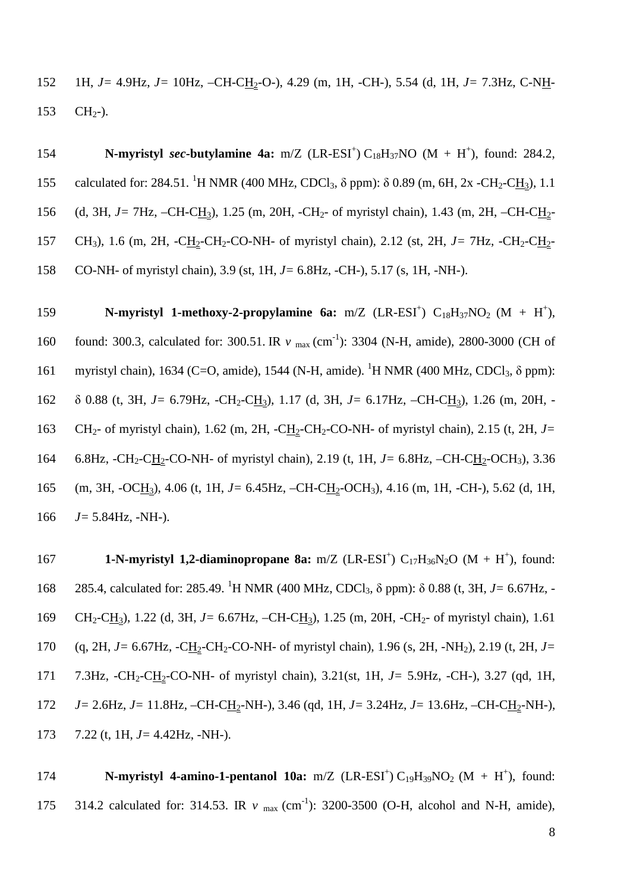152 1H, *J=* 4.9Hz, *J=* 10Hz, –CH-CH2-O-), 4.29 (m, 1H, -CH-), 5.54 (d, 1H, *J=* 7.3Hz, C-NH-153  $CH<sub>2</sub>-$ ).

154 **N-myristyl** *sec***-butylamine 4a:** m/Z  $(LR-ESI^+) C_{18}H_{37}NO (M + H^+)$ , found: 284.2, 155 calculated for: 284.51. <sup>1</sup>H NMR (400 MHz, CDCl<sub>3</sub>,  $\delta$  ppm):  $\delta$  0.89 (m, 6H, 2x -CH<sub>2</sub>-C<u>H<sub>3</sub></u>), 1.1 156 (d, 3H, *J*= 7Hz, –CH-CH<sub>3</sub>), 1.25 (m, 20H, -CH<sub>2</sub>- of myristyl chain), 1.43 (m, 2H, –CH-CH<sub>2</sub>-157 CH<sub>3</sub>), 1.6 (m, 2H, -CH<sub>2</sub>-CH<sub>2</sub>-CO-NH- of myristyl chain), 2.12 (st, 2H, J= 7Hz, -CH<sub>2</sub>-CH<sub>2</sub>-158 CO-NH- of myristyl chain), 3.9 (st, 1H, *J=* 6.8Hz, -CH-), 5.17 (s, 1H, -NH-).

159 **N-myristyl 1-methoxy-2-propylamine 6a:** m/Z (LR-ESI<sup>+</sup>)  $C_{18}H_{37}NO_2$  (M + H<sup>+</sup>), found: 300.3, calculated for: 300.51. IR *v* max (cm<sup>-1</sup>): 3304 (N-H, amide), 2800-3000 (CH of 161 myristyl chain), 1634 (C=O, amide), 1544 (N-H, amide). <sup>1</sup>H NMR (400 MHz, CDCl<sub>3</sub>, δ ppm): 162 0.88 (t, 3H, *J=* 6.79Hz, -CH2-CH3), 1.17 (d, 3H, *J=* 6.17Hz, –CH-CH3), 1.26 (m, 20H, - 163 CH2- of myristyl chain), 1.62 (m, 2H, -CH2-CH2-CO-NH- of myristyl chain), 2.15 (t, 2H, *J=* 164 6.8Hz, -CH<sub>2</sub>-CH<sub>2</sub>-CO-NH- of myristyl chain), 2.19 (t, 1H, *J* = 6.8Hz, -CH-CH<sub>2</sub>-OCH<sub>3</sub>), 3.36 165 (m, 3H, -OCH3), 4.06 (t, 1H, *J=* 6.45Hz, –CH-CH2-OCH3), 4.16 (m, 1H, -CH-), 5.62 (d, 1H, 166 *J=* 5.84Hz, -NH-).

167 **1-N-myristyl 1,2-diaminopropane 8a:** m/Z ( $LR$ - $EST^+$ )  $C_{17}H_{36}N_2O$  ( $M + H^+$ ), found: 168 285.4, calculated for: 285.49. <sup>1</sup>H NMR (400 MHz, CDCl<sub>3</sub>, δ ppm): δ 0.88 (t, 3H, *J* = 6.67Hz, -169 CH2-CH3), 1.22 (d, 3H, *J=* 6.67Hz, –CH-CH3), 1.25 (m, 20H, -CH2- of myristyl chain), 1.61 170 (q, 2H, *J=* 6.67Hz, -CH2-CH2-CO-NH- of myristyl chain), 1.96 (s, 2H, -NH2), 2.19 (t, 2H, *J=* 171 7.3Hz, -CH2-CH2-CO-NH- of myristyl chain), 3.21(st, 1H, *J=* 5.9Hz, -CH-), 3.27 (qd, 1H, 172 *J=* 2.6Hz, *J=* 11.8Hz, –CH-CH2-NH-), 3.46 (qd, 1H, *J=* 3.24Hz, *J=* 13.6Hz, –CH-CH2-NH-), 173 7.22 (t, 1H, *J=* 4.42Hz, -NH-).

174 **N-myristyl 4-amino-1-pentanol 10a:** m/Z  $(LR-ESI^+) C_{19}H_{39}NO_2 (M + H^+)$ , found: 175 314.2 calculated for: 314.53. IR  $v_{\text{max}}$  (cm<sup>-1</sup>): 3200-3500 (O-H, alcohol and N-H, amide),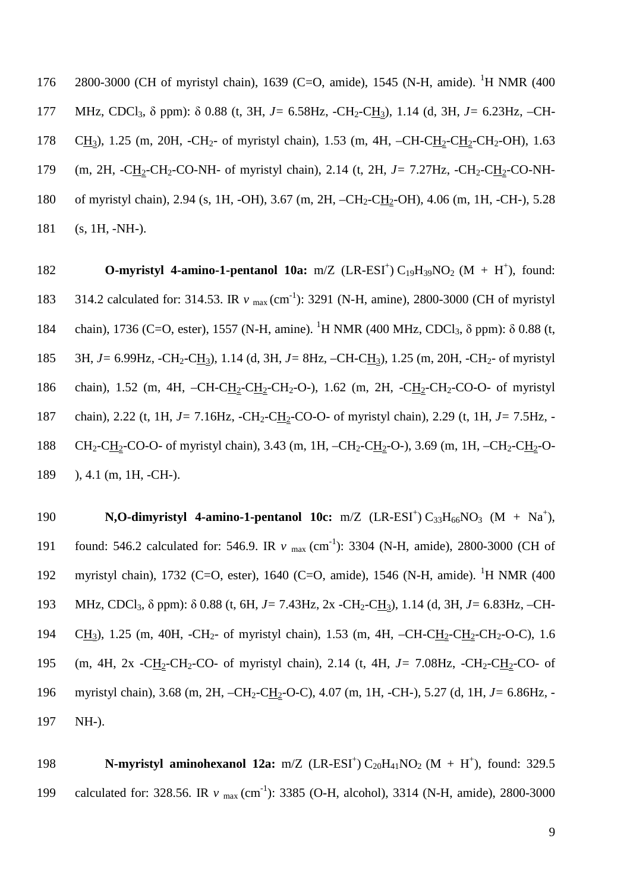176 2800-3000 (CH of myristyl chain), 1639 (C=O, amide), 1545 (N-H, amide). <sup>1</sup>H NMR (400 177 MHz, CDCl<sub>3</sub>, δ ppm): δ 0.88 (t, 3H, *J* = 6.58Hz, -CH<sub>2</sub>-CH<sub>3</sub>), 1.14 (d, 3H, *J* = 6.23Hz, -CH-178 CH<sub>3</sub>), 1.25 (m, 20H, -CH<sub>2</sub>- of myristyl chain), 1.53 (m, 4H, -CH-CH<sub>2</sub>-CH<sub>2</sub>-CH<sub>2</sub>-OH), 1.63 179 (m, 2H, -CH<sub>2</sub>-CH<sub>2</sub>-CO-NH- of myristyl chain), 2.14 (t, 2H, *J*= 7.27Hz, -CH<sub>2</sub>-CH<sub>2</sub>-CO-NH-180 of myristyl chain), 2.94 (s, 1H, -OH), 3.67 (m, 2H, –CH2-CH2-OH), 4.06 (m, 1H, -CH-), 5.28 181 (s, 1H, -NH-).

182 **O-myristyl 4-amino-1-pentanol 10a:** m/Z  $(LR-ESI^+) C_{19}H_{39}NO_2 (M + H^+)$ , found: 183 314.2 calculated for: 314.53. IR *v* <sub>max</sub> (cm<sup>-1</sup>): 3291 (N-H, amine), 2800-3000 (CH of myristyl 184 chain), 1736 (C=O, ester), 1557 (N-H, amine). <sup>1</sup>H NMR (400 MHz, CDCl<sub>3</sub>,  $\delta$  ppm):  $\delta$  0.88 (t, 185 3H, *J=* 6.99Hz, -CH2-CH3), 1.14 (d, 3H, *J=* 8Hz, –CH-CH3), 1.25 (m, 20H, -CH2- of myristyl 186 chain), 1.52 (m, 4H, -CH-CH<sub>2</sub>-CH<sub>2</sub>-CH<sub>2</sub>-O-), 1.62 (m, 2H, -CH<sub>2</sub>-CH<sub>2</sub>-CO-O- of myristyl 187 chain), 2.22 (t, 1H, *J*= 7.16Hz, -CH<sub>2</sub>-CH<sub>2</sub>-CO-O- of myristyl chain), 2.29 (t, 1H, *J*= 7.5Hz, -188 CH<sub>2</sub>-CH<sub>2</sub>-CO-O- of myristyl chain), 3.43 (m, 1H, –CH<sub>2</sub>-CH<sub>2</sub>-O-), 3.69 (m, 1H, –CH<sub>2</sub>-CH<sub>2</sub>-O-189 ), 4.1 (m, 1H, -CH-).

190 **N,O-dimyristyl 4-amino-1-pentanol 10c:** m/Z  $(LR-ESI^+) C_{33}H_{66}NO_3 (M + Na^+),$ 191 found: 546.2 calculated for: 546.9. IR  $v_{\text{max}}$  (cm<sup>-1</sup>): 3304 (N-H, amide), 2800-3000 (CH of 192 myristyl chain), 1732 (C=O, ester), 1640 (C=O, amide), 1546 (N-H, amide). <sup>1</sup>H NMR (400 193 MHz, CDCl<sub>3</sub>, δ ppm): δ 0.88 (t, 6H, *J* = 7.43Hz, 2x -CH<sub>2</sub>-C<u>H</u><sub>3</sub>), 1.14 (d, 3H, *J* = 6.83Hz, -CH-194 CH<sub>3</sub>), 1.25 (m, 40H, -CH<sub>2</sub>- of myristyl chain), 1.53 (m, 4H, -CH-CH<sub>2</sub>-CH<sub>2</sub>-CH<sub>2</sub>-O-C), 1.6 195 (m, 4H, 2x -CH<sub>2</sub>-CH<sub>2</sub>-CO- of myristyl chain), 2.14 (t, 4H, J= 7.08Hz, -CH<sub>2</sub>-CH<sub>2</sub>-CO- of 196 myristyl chain), 3.68 (m, 2H, –CH2-CH2-O-C), 4.07 (m, 1H, -CH-), 5.27 (d, 1H, *J=* 6.86Hz, - 197 NH-).

198 **N-myristyl aminohexanol 12a:** m/Z (LR-ESI<sup>+</sup>) C<sub>20</sub>H<sub>41</sub>NO<sub>2</sub> (M + H<sup>+</sup>), found: 329.5 199 calculated for: 328.56. IR *v* max (cm<sup>-1</sup>): 3385 (O-H, alcohol), 3314 (N-H, amide), 2800-3000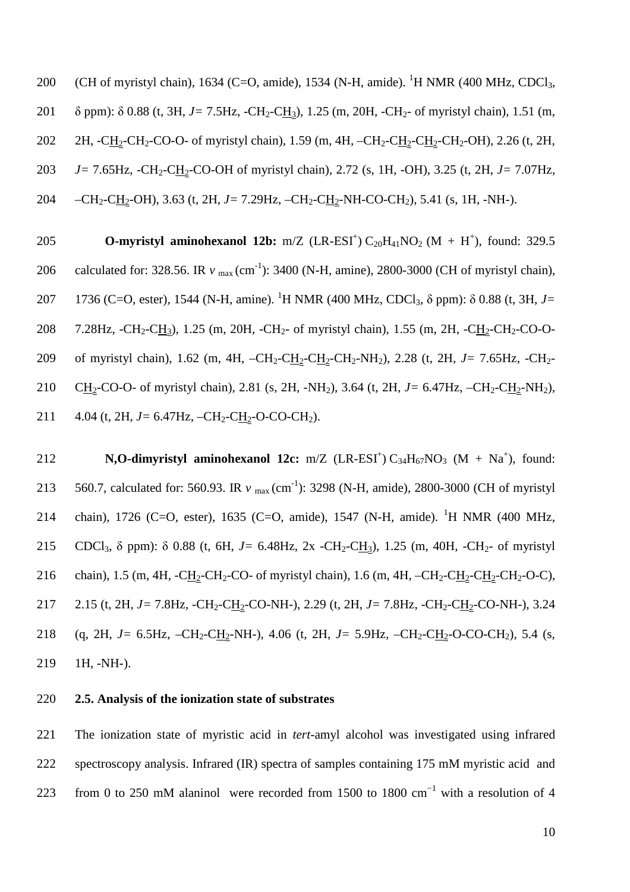200 (CH of myristyl chain), 1634 (C=O, amide), 1534 (N-H, amide). <sup>1</sup>H NMR (400 MHz, CDCl<sub>3</sub>, 201  $\delta$  ppm):  $\delta$  0.88 (t, 3H, *J*= 7.5Hz, -CH<sub>2</sub>-CH<sub>3</sub>), 1.25 (m, 20H, -CH<sub>2</sub>- of myristyl chain), 1.51 (m, 202 2H, -CH<sub>2</sub>-CH<sub>2</sub>-CO-O- of myristyl chain), 1.59 (m, 4H, -CH<sub>2</sub>-CH<sub>2</sub>-CH<sub>2</sub>-CH<sub>2</sub>-CH<sub>2</sub>-OH), 2.26 (t, 2H, 203 *J=* 7.65Hz, -CH2-CH2-CO-OH of myristyl chain), 2.72 (s, 1H, -OH), 3.25 (t, 2H, *J=* 7.07Hz, 204 – CH<sub>2</sub>-CH<sub>2</sub>-OH), 3.63 (t, 2H, *J*=7.29Hz, –CH<sub>2</sub>-CH<sub>2</sub>-NH-CO-CH<sub>2</sub>), 5.41 (s, 1H, -NH-).

205 **O-myristyl aminohexanol 12b:** m/Z  $(LR-ESI^+) C_{20}H_{41}NO_2 (M + H^+)$ , found: 329.5 206 calculated for: 328.56. IR  $v_{\text{max}}$  (cm<sup>-1</sup>): 3400 (N-H, amine), 2800-3000 (CH of myristyl chain), 207 1736 (C=O, ester), 1544 (N-H, amine). <sup>1</sup>H NMR (400 MHz, CDCl<sub>3</sub>, δ ppm): δ 0.88 (t, 3H, *J*= 208 7.28Hz, -CH<sub>2</sub>-CH<sub>3</sub>), 1.25 (m, 20H, -CH<sub>2</sub>- of myristyl chain), 1.55 (m, 2H, -CH<sub>2</sub>-CH<sub>2</sub>-CO-O-209 of myristyl chain), 1.62 (m, 4H, –CH2-CH2-CH2-CH2-NH2), 2.28 (t, 2H, *J=* 7.65Hz, -CH2- 210 CH<sub>2</sub>-CO-O- of myristyl chain), 2.81 (s, 2H, -NH<sub>2</sub>), 3.64 (t, 2H, *J* = 6.47Hz, -CH<sub>2</sub>-CH<sub>2</sub>-NH<sub>2</sub>), 211  $4.04$  (t, 2H,  $J=6.47\text{Hz}$ ,  $-\text{CH}_2\text{-CH}_2\text{-O-CO-CH}_2$ ).

212 **N,O-dimyristyl aminohexanol 12c:** m/Z (LR-ESI<sup>+</sup>)  $C_{34}H_{67}NO_3$  (M + Na<sup>+</sup>), found: 213 560.7, calculated for: 560.93. IR *v* max (cm<sup>-1</sup>): 3298 (N-H, amide), 2800-3000 (CH of myristyl 214 chain), 1726 (C=O, ester), 1635 (C=O, amide), 1547 (N-H, amide). <sup>1</sup>H NMR (400 MHz, 215 CDCl<sub>3</sub>, δ ppm): δ 0.88 (t, 6H, *J* = 6.48Hz, 2x -CH<sub>2</sub>-CH<sub>3</sub>), 1.25 (m, 40H, -CH<sub>2</sub>- of myristyl 216 chain), 1.5 (m, 4H,  $-CH_2-CH_2-CO$  of myristyl chain), 1.6 (m, 4H,  $-CH_2-CH_2-CH_2-CH_2-CO$ ), 217 2.15 (t, 2H, *J* = 7.8Hz, -CH<sub>2</sub>-CH<sub>2</sub>-CO-NH-), 2.29 (t, 2H, *J* = 7.8Hz, -CH<sub>2</sub>-CH<sub>2</sub>-CO-NH-), 3.24 218 (q, 2H, *J*= 6.5Hz, –CH<sub>2</sub>-CH<sub>2</sub>-NH-), 4.06 (t, 2H, *J*= 5.9Hz, –CH<sub>2</sub>-CH<sub>2</sub>-O-CO-CH<sub>2</sub>), 5.4 (s, 219 1H, -NH-).

#### 220 **2.5. Analysis of the ionization state of substrates**

221 The ionization state of myristic acid in *tert*-amyl alcohol was investigated using infrared 222 spectroscopy analysis. Infrared (IR) spectra of samples containing 175 mM myristic acid and from 0 to 250 mM alaninol were recorded from 1500 to 1800 cm<sup>-1</sup> with a resolution of 4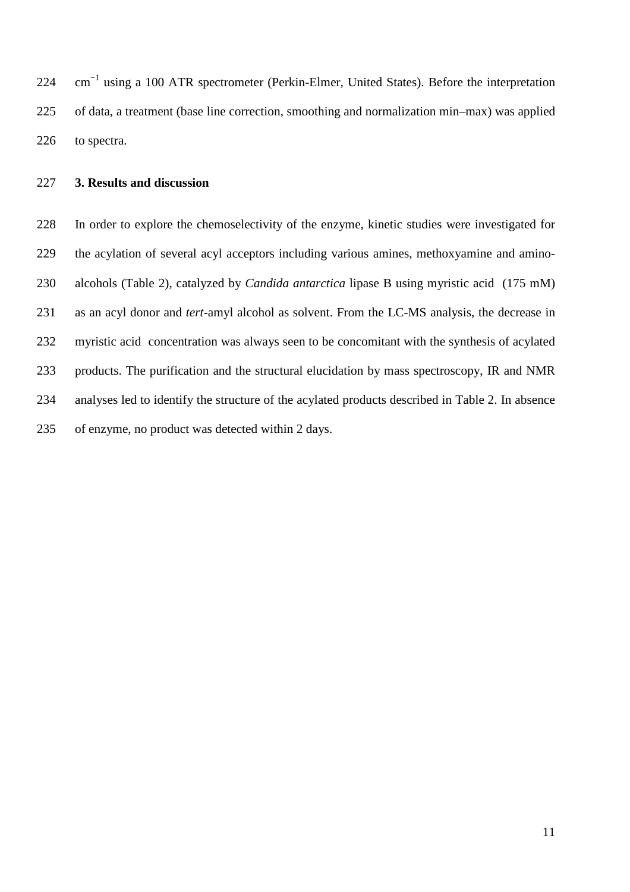224 cm<sup>-1</sup> using a 100 ATR spectrometer (Perkin-Elmer, United States). Before the interpretation 225 of data, a treatment (base line correction, smoothing and normalization min–max) was applied 226 to spectra.

#### 227 **3. Results and discussion**

228 In order to explore the chemoselectivity of the enzyme, kinetic studies were investigated for 229 the acylation of several acyl acceptors including various amines, methoxyamine and amino-230 alcohols (Table 2), catalyzed by *Candida antarctica* lipase B using myristic acid (175 mM) 231 as an acyl donor and *tert*-amyl alcohol as solvent. From the LC-MS analysis, the decrease in 232 myristic acid concentration was always seen to be concomitant with the synthesis of acylated 233 products. The purification and the structural elucidation by mass spectroscopy, IR and NMR 234 analyses led to identify the structure of the acylated products described in Table 2. In absence 235 of enzyme, no product was detected within 2 days.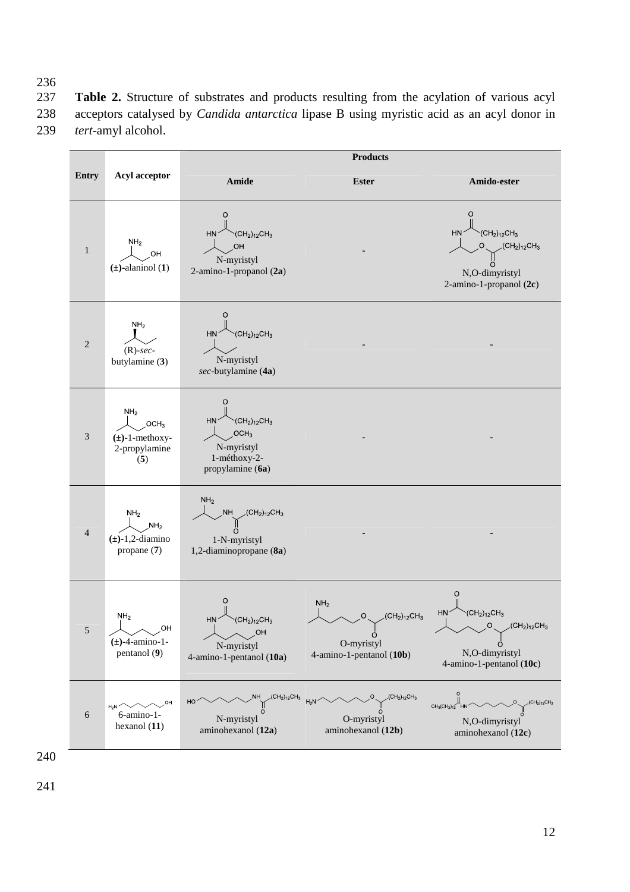236<br>237 Table 2. Structure of substrates and products resulting from the acylation of various acyl 238 acceptors catalysed by *Candida antarctica* lipase B using myristic acid as an acyl donor in 239 *tert*-amyl alcohol.

|                | <b>Products</b>                                                                    |                                                                                               |                                                                                               |                                                                                                                                                               |  |  |
|----------------|------------------------------------------------------------------------------------|-----------------------------------------------------------------------------------------------|-----------------------------------------------------------------------------------------------|---------------------------------------------------------------------------------------------------------------------------------------------------------------|--|--|
| <b>Entry</b>   | Acyl acceptor                                                                      | Amide                                                                                         | <b>Ester</b>                                                                                  | Amido-ester                                                                                                                                                   |  |  |
| $\mathbf{1}$   | NH <sub>2</sub><br>OH<br>$(\pm)$ -alaninol $(1)$                                   | O<br>$(CH2)12CH3$<br>HN<br>OH<br>N-myristyl<br>2-amino-1-propanol (2a)                        |                                                                                               | O<br>$(CH_2)_{12}CH_3$<br><b>HN</b><br>$10(CH_2)_{12}CH_3$<br>N,O-dimyristyl<br>2-amino-1-propanol $(2c)$                                                     |  |  |
| $\overline{2}$ | NH <sub>2</sub><br>$(R)$ -sec-<br>butylamine (3)                                   | $(CH2)12CH3$<br>HN<br>N-myristyl<br>sec-butylamine (4a)                                       |                                                                                               |                                                                                                                                                               |  |  |
| 3              | NH <sub>2</sub><br>OCH <sub>3</sub><br>$(\pm)$ -1-methoxy-<br>2-propylamine<br>(5) | O<br>$(CH2)12CH3$<br>HN<br>OCH <sub>3</sub><br>N-myristyl<br>1-méthoxy-2-<br>propylamine (6a) |                                                                                               |                                                                                                                                                               |  |  |
| $\overline{4}$ | NH <sub>2</sub><br>NH <sub>2</sub><br>$(\pm)$ -1,2-diamino<br>propane (7)          | NH <sub>2</sub><br><b>NH</b><br>$(CH_2)_{12}CH_3$<br>1-N-myristyl<br>1,2-diaminopropane (8a)  |                                                                                               |                                                                                                                                                               |  |  |
| $\sqrt{5}$     | NH <sub>2</sub><br>OH<br>$(\pm)$ -4-amino-1-<br>pentanol (9)                       | $C(H_2)_{12}CH_3$<br>HN <sub>3</sub><br>,OH<br>N-myristyl<br>4-amino-1-pentanol (10a)         | NH <sub>2</sub><br>$O \qquad (CH2)12CH3$<br>ll<br>O<br>O-myristyl<br>4-amino-1-pentanol (10b) | O<br>HN<br>$(CH_2)_{12}CH_3$<br>$\mathcal{O}$<br>$\mathcal{L}$ (CH <sub>2</sub> ) <sub>12</sub> CH <sub>3</sub><br>N,O-dimyristyl<br>4-amino-1-pentanol (10c) |  |  |
| $\sqrt{6}$     | OН<br>$H_2N$<br>6-amino-1-<br>hexanol $(11)$                                       | HO<br>N-myristyl<br>aminohexanol (12a)                                                        | $(CH_2)_{12}CH_3$<br>$H_2N$<br>$\frac{11}{5}$<br>O-myristyl<br>aminohexanol (12b)             | $\text{(CH}_2)_{12}CH_3$<br>$CH_3CH_2$ <sub>12</sub> HN<br>N,O-dimyristyl<br>aminohexanol (12c)                                                               |  |  |

240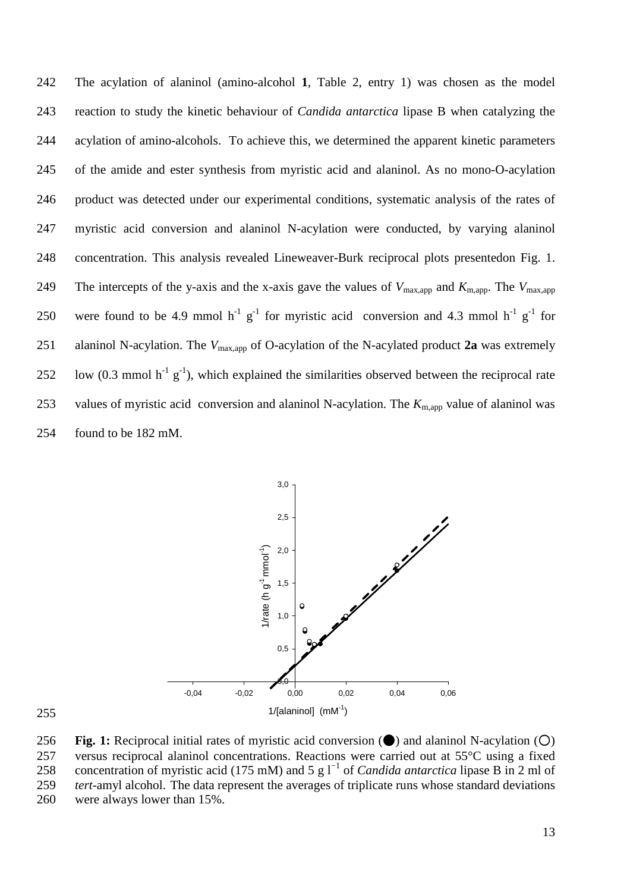242 The acylation of alaninol (amino-alcohol **1**, Table 2, entry 1) was chosen as the model 243 reaction to study the kinetic behaviour of *Candida antarctica* lipase B when catalyzing the 244 acylation of amino-alcohols. To achieve this, we determined the apparent kinetic parameters 245 of the amide and ester synthesis from myristic acid and alaninol. As no mono-O-acylation 246 product was detected under our experimental conditions, systematic analysis of the rates of 247 myristic acid conversion and alaninol N-acylation were conducted, by varying alaninol 248 concentration. This analysis revealed Lineweaver-Burk reciprocal plots presentedon Fig. 1. 249 The intercepts of the y-axis and the x-axis gave the values of  $V_{\text{max,app}}$  and  $K_{\text{m,app}}$ . The  $V_{\text{max,app}}$ 250 were found to be 4.9 mmol  $h^{-1}g^{-1}$  for myristic acid conversion and 4.3 mmol  $h^{-1}g^{-1}$  for 251 alaninol N-acylation. The *V*max,app of O-acylation of the N-acylated product **2a** was extremely 252 low (0.3 mmol  $h^{-1}g^{-1}$ ), which explained the similarities observed between the reciprocal rate 253 values of myristic acid conversion and alaninol N-acylation. The  $K_{\text{m,app}}$  value of alaninol was 254 found to be 182 mM.



255

256 **Fig. 1:** Reciprocal initial rates of myristic acid conversion  $\odot$  and alaninol N-acylation  $\odot$ 257 versus reciprocal alaninol concentrations. Reactions were carried out at 55°C using a fixed concentration of myristic acid (175 mM) and 5 g  $l^{-1}$  of *Candida antarctica* lipase B in 2 ml of 259 *tert*-amyl alcohol. The data represent the averages of triplicate runs whose standard deviations 260 were always lower than 15%.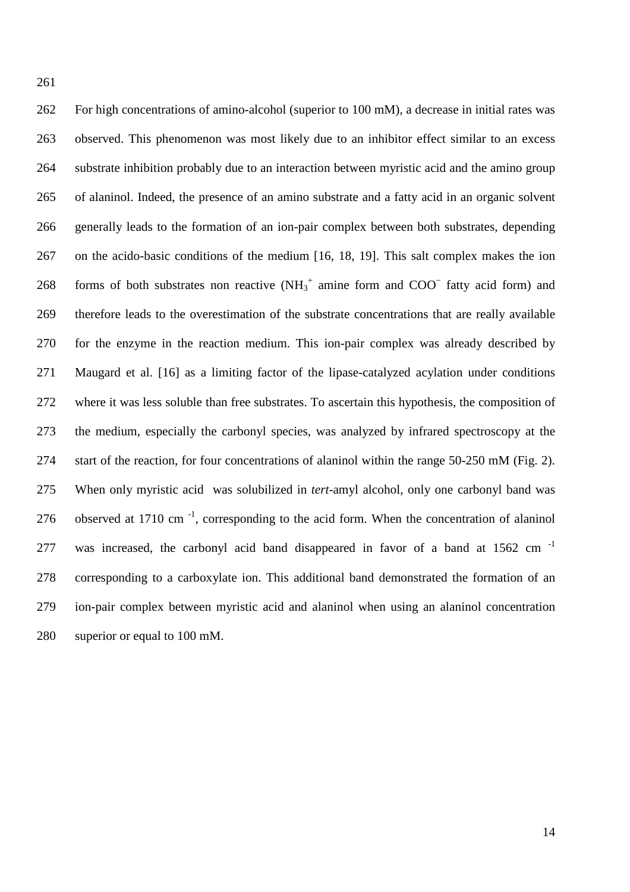261

262 For high concentrations of amino-alcohol (superior to 100 mM), a decrease in initial rates was 263 observed. This phenomenon was most likely due to an inhibitor effect similar to an excess 264 substrate inhibition probably due to an interaction between myristic acid and the amino group 265 of alaninol. Indeed, the presence of an amino substrate and a fatty acid in an organic solvent 266 generally leads to the formation of an ion-pair complex between both substrates, depending 267 on the acido-basic conditions of the medium [16, 18, 19]. This salt complex makes the ion 268 forms of both substrates non reactive  $(NH_3^+$  amine form and  $COO^-$  fatty acid form) and 269 therefore leads to the overestimation of the substrate concentrations that are really available 270 for the enzyme in the reaction medium. This ion-pair complex was already described by 271 Maugard et al. [16] as a limiting factor of the lipase-catalyzed acylation under conditions 272 where it was less soluble than free substrates. To ascertain this hypothesis, the composition of 273 the medium, especially the carbonyl species, was analyzed by infrared spectroscopy at the 274 start of the reaction, for four concentrations of alaninol within the range 50-250 mM (Fig. 2). 275 When only myristic acid was solubilized in *tert*-amyl alcohol, only one carbonyl band was 276 observed at 1710 cm<sup>-1</sup>, corresponding to the acid form. When the concentration of alaninol 277 was increased, the carbonyl acid band disappeared in favor of a band at  $1562 \text{ cm}^{-1}$ 278 corresponding to a carboxylate ion. This additional band demonstrated the formation of an 279 ion-pair complex between myristic acid and alaninol when using an alaninol concentration 280 superior or equal to 100 mM.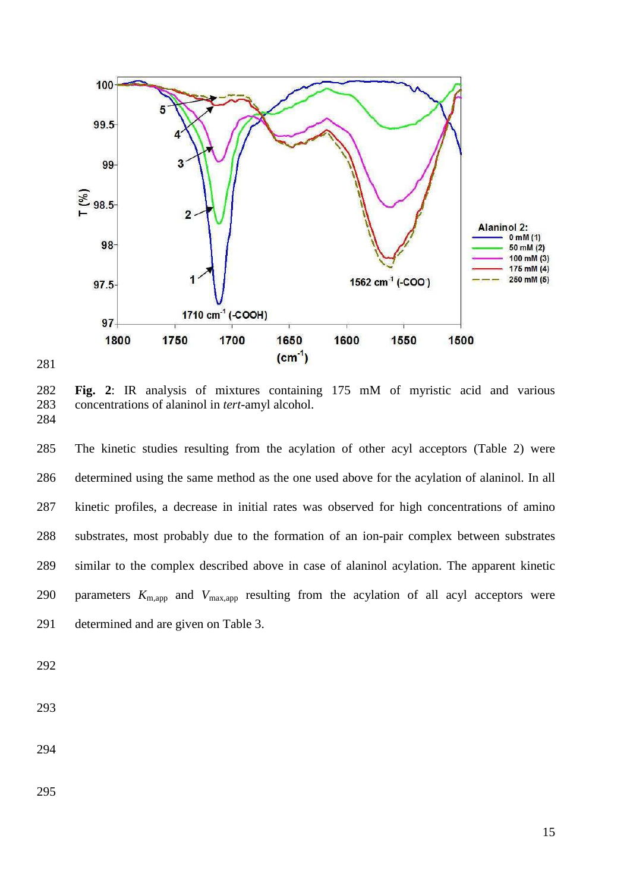

282 **Fig. 2**: IR analysis of mixtures containing 175 mM of myristic acid and various 283 concentrations of alaninol in *tert*-amyl alcohol. 284

285 The kinetic studies resulting from the acylation of other acyl acceptors (Table 2) were 286 determined using the same method as the one used above for the acylation of alaninol. In all 287 kinetic profiles, a decrease in initial rates was observed for high concentrations of amino 288 substrates, most probably due to the formation of an ion-pair complex between substrates 289 similar to the complex described above in case of alaninol acylation. The apparent kinetic 290 parameters *K*m,app and *V*max,app resulting from the acylation of all acyl acceptors were 291 determined and are given on Table 3.

292

293

294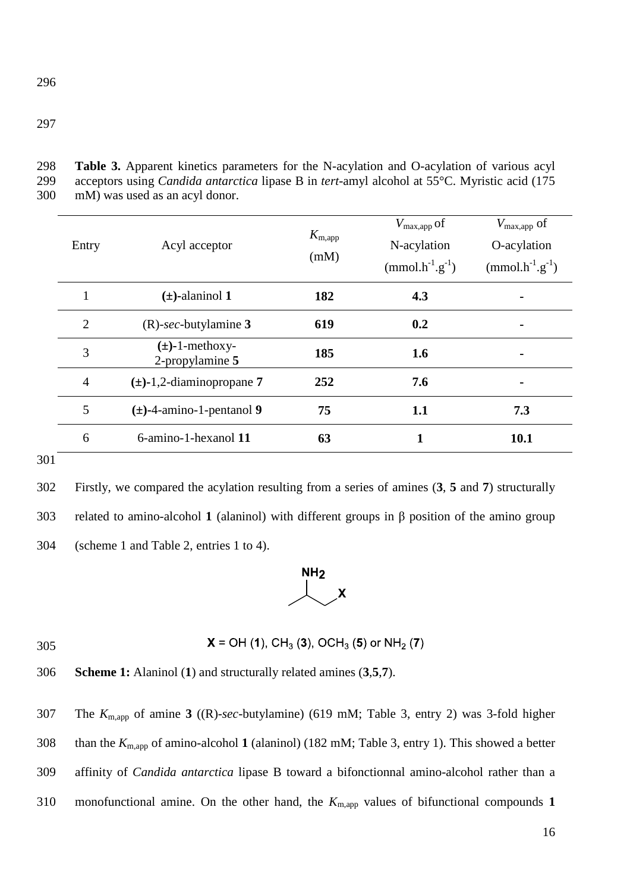297

298 **Table 3.** Apparent kinetics parameters for the N-acylation and O-acylation of various acyl 299 acceptors using *Candida antarctica* lipase B in *tert*-amyl alcohol at 55°C. Myristic acid (175 300 mM) was used as an acyl donor.

| Entry          | Acyl acceptor                          | $K_{\rm m, app}$<br>(mM) | $V_{\text{max,app}}$ of<br>N-acylation<br>$(mmol.h^{-1}.g^{-1})$ | $V_{\text{max,app}}$ of<br>O-acylation<br>(mmol.h <sup>-1</sup> .g <sup>-1</sup> ) |
|----------------|----------------------------------------|--------------------------|------------------------------------------------------------------|------------------------------------------------------------------------------------|
| 1              | $(\pm)$ -alaninol 1                    | 182                      | 4.3                                                              |                                                                                    |
| $\overline{2}$ | $(R)$ -sec-butylamine 3                | 619                      | 0.2                                                              | ۰                                                                                  |
| 3              | $(\pm)$ -1-methoxy-<br>2-propylamine 5 | 185                      | 1.6                                                              | $\blacksquare$                                                                     |
| $\overline{4}$ | $(\pm)$ -1,2-diaminopropane 7          | 252                      | 7.6                                                              |                                                                                    |
| 5              | $(\pm)$ -4-amino-1-pentanol 9          | 75                       | 1.1                                                              | 7.3                                                                                |
| 6              | 6-amino-1-hexanol 11                   | 63                       | 1                                                                | 10.1                                                                               |

301

302 Firstly, we compared the acylation resulting from a series of amines (**3**, **5** and **7**) structurally 303 related to amino-alcohol **1** (alaninol) with different groups in  $\beta$  position of the amino group 304 (scheme 1 and Table 2, entries 1 to 4).



305

 $X = OH(1)$ , CH<sub>3</sub> (3), OCH<sub>3</sub> (5) or NH<sub>2</sub> (7)

306 **Scheme 1:** Alaninol (**1**) and structurally related amines (**3**,**5**,**7**).

307 The *K*m,app of amine **3** ((R)-*sec*-butylamine) (619 mM; Table 3, entry 2) was 3-fold higher 308 than the *K*m,app of amino-alcohol **1** (alaninol) (182 mM; Table 3, entry 1). This showed a better

309 affinity of *Candida antarctica* lipase B toward a bifonctionnal amino-alcohol rather than a

310 monofunctional amine. On the other hand, the *K*m,app values of bifunctional compounds **1**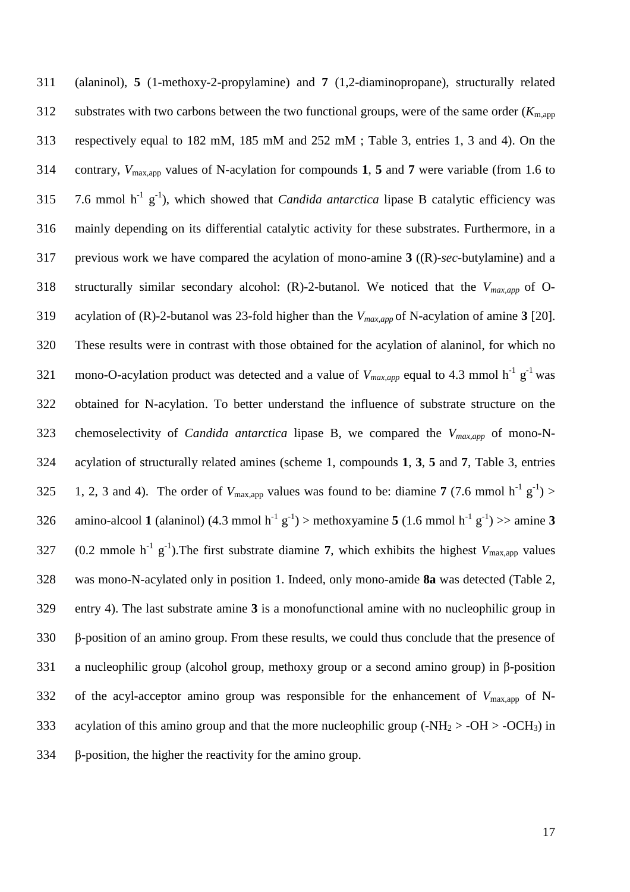311 (alaninol), **5** (1-methoxy-2-propylamine) and **7** (1,2-diaminopropane), structurally related 312 substrates with two carbons between the two functional groups, were of the same order  $(K_{\text{m,ann}})$ 313 respectively equal to 182 mM, 185 mM and 252 mM ; Table 3, entries 1, 3 and 4). On the 314 contrary, *V*max,app values of N-acylation for compounds **1**, **5** and **7** were variable (from 1.6 to 315 7.6 mmol  $h^{-1}$   $g^{-1}$ ), which showed that *Candida antarctica* lipase B catalytic efficiency was 316 mainly depending on its differential catalytic activity for these substrates. Furthermore, in a 317 previous work we have compared the acylation of mono-amine **3** ((R)-*sec*-butylamine) and a 318 structurally similar secondary alcohol: (R)-2-butanol. We noticed that the *Vmax,app* of O-319 acylation of (R)-2-butanol was 23-fold higher than the *Vmax,app* of N-acylation of amine **3** [20]. 320 These results were in contrast with those obtained for the acylation of alaninol, for which no 321 mono-O-acylation product was detected and a value of  $V_{max,app}$  equal to 4.3 mmol h<sup>-1</sup> g<sup>-1</sup> was 322 obtained for N-acylation. To better understand the influence of substrate structure on the 323 chemoselectivity of *Candida antarctica* lipase B, we compared the *Vmax,app* of mono-N-324 acylation of structurally related amines (scheme 1, compounds **1**, **3**, **5** and **7**, Table 3, entries 325 1, 2, 3 and 4). The order of  $V_{\text{max,app}}$  values was found to be: diamine 7 (7.6 mmol h<sup>-1</sup> g<sup>-1</sup>) > 326 amino-alcool **1** (alaninol) (4.3 mmol  $h^{-1}g^{-1}$ ) > methoxyamine **5** (1.6 mmol  $h^{-1}g^{-1}$ ) >> amine **3** 327 (0.2 mmole h<sup>-1</sup> g<sup>-1</sup>). The first substrate diamine 7, which exhibits the highest  $V_{\text{max,app}}$  values 328 was mono-N-acylated only in position 1. Indeed, only mono-amide **8a** was detected (Table 2, 329 entry 4). The last substrate amine **3** is a monofunctional amine with no nucleophilic group in  $330$   $\beta$ -position of an amino group. From these results, we could thus conclude that the presence of  $331$  a nucleophilic group (alcohol group, methoxy group or a second amino group) in  $\beta$ -position 332 of the acyl-acceptor amino group was responsible for the enhancement of  $V_{\text{max,app}}$  of N-333 acylation of this amino group and that the more nucleophilic group (-NH<sub>2</sub> > -OH > -OCH<sub>3</sub>) in  $334$   $\beta$ -position, the higher the reactivity for the amino group.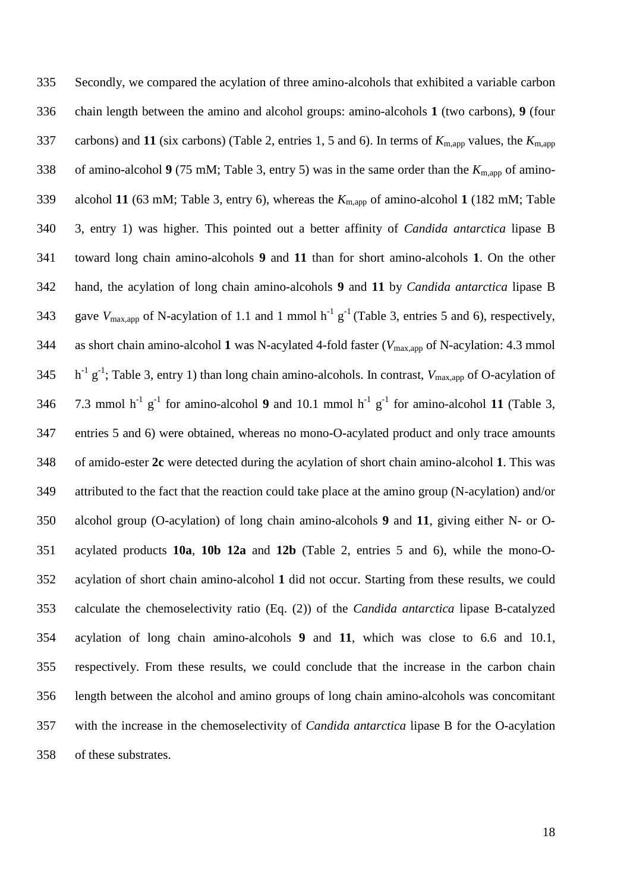335 Secondly, we compared the acylation of three amino-alcohols that exhibited a variable carbon 336 chain length between the amino and alcohol groups: amino-alcohols **1** (two carbons), **9** (four 337 carbons) and **11** (six carbons) (Table 2, entries 1, 5 and 6). In terms of  $K_{\text{m,app}}$  values, the  $K_{\text{m,app}}$ 338 of amino-alcohol **9** (75 mM; Table 3, entry 5) was in the same order than the  $K_{\text{m,app}}$  of amino-339 alcohol **11** (63 mM; Table 3, entry 6), whereas the *K*m,app of amino-alcohol **1** (182 mM; Table 340 3, entry 1) was higher. This pointed out a better affinity of *Candida antarctica* lipase B 341 toward long chain amino-alcohols **9** and **11** than for short amino-alcohols **1**. On the other 342 hand, the acylation of long chain amino-alcohols **9** and **11** by *Candida antarctica* lipase B 343 gave  $V_{\text{max,app}}$  of N-acylation of 1.1 and 1 mmol h<sup>-1</sup> g<sup>-1</sup> (Table 3, entries 5 and 6), respectively, 344 as short chain amino-alcohol 1 was N-acylated 4-fold faster ( $V_{\text{max,app}}$  of N-acylation: 4.3 mmol 345  $h^{-1} g^{-1}$ ; Table 3, entry 1) than long chain amino-alcohols. In contrast,  $V_{\text{max,app}}$  of O-acylation of 346 7.3 mmol  $h^{-1}g^{-1}$  for amino-alcohol **9** and 10.1 mmol  $h^{-1}g^{-1}$  for amino-alcohol 11 (Table 3, 347 entries 5 and 6) were obtained, whereas no mono-O-acylated product and only trace amounts 348 of amido-ester **2c** were detected during the acylation of short chain amino-alcohol **1**. This was 349 attributed to the fact that the reaction could take place at the amino group (N-acylation) and/or 350 alcohol group (O-acylation) of long chain amino-alcohols **9** and **11**, giving either N- or O-351 acylated products **10a**, **10b 12a** and **12b** (Table 2, entries 5 and 6), while the mono-O-352 acylation of short chain amino-alcohol **1** did not occur. Starting from these results, we could 353 calculate the chemoselectivity ratio (Eq. (2)) of the *Candida antarctica* lipase B-catalyzed 354 acylation of long chain amino-alcohols **9** and **11**, which was close to 6.6 and 10.1, 355 respectively. From these results, we could conclude that the increase in the carbon chain 356 length between the alcohol and amino groups of long chain amino-alcohols was concomitant 357 with the increase in the chemoselectivity of *Candida antarctica* lipase B for the O-acylation 358 of these substrates.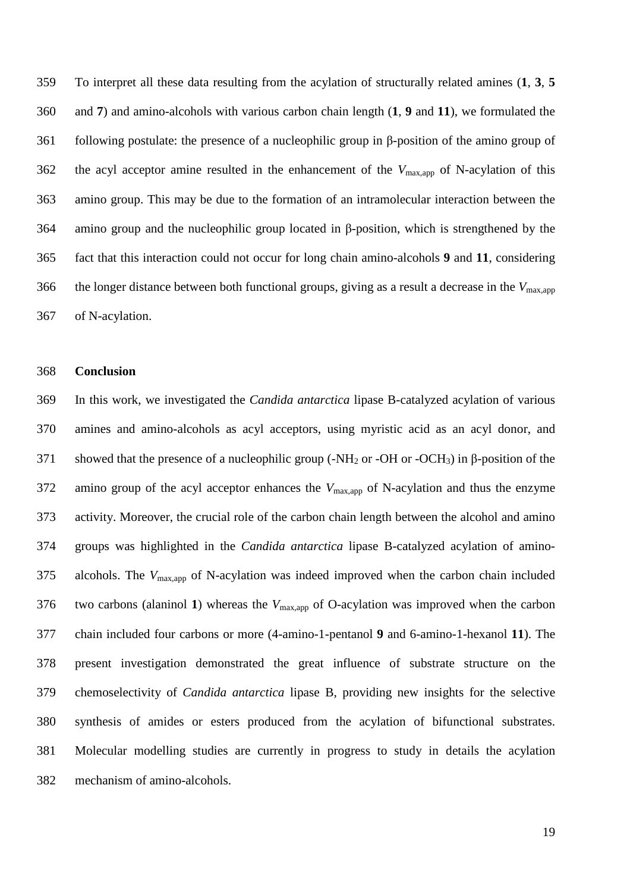359 To interpret all these data resulting from the acylation of structurally related amines (**1**, **3**, **5** 360 and **7**) and amino-alcohols with various carbon chain length (**1**, **9** and **11**), we formulated the  $361$  following postulate: the presence of a nucleophilic group in  $\beta$ -position of the amino group of 362 the acyl acceptor amine resulted in the enhancement of the *V*max,app of N-acylation of this 363 amino group. This may be due to the formation of an intramolecular interaction between the  $364$  amino group and the nucleophilic group located in  $\beta$ -position, which is strengthened by the 365 fact that this interaction could not occur for long chain amino-alcohols **9** and **11**, considering 366 the longer distance between both functional groups, giving as a result a decrease in the  $V_{\text{max,app}}$ 367 of N-acylation.

#### 368 **Conclusion**

369 In this work, we investigated the *Candida antarctica* lipase B-catalyzed acylation of various 370 amines and amino-alcohols as acyl acceptors, using myristic acid as an acyl donor, and 371 showed that the presence of a nucleophilic group (-NH<sub>2</sub> or -OH or -OCH<sub>3</sub>) in  $\beta$ -position of the 372 amino group of the acyl acceptor enhances the  $V_{\text{max,app}}$  of N-acylation and thus the enzyme 373 activity. Moreover, the crucial role of the carbon chain length between the alcohol and amino 374 groups was highlighted in the *Candida antarctica* lipase B-catalyzed acylation of amino-375 alcohols. The *V*max,app of N-acylation was indeed improved when the carbon chain included 376 two carbons (alaninol 1) whereas the  $V_{\text{max,app}}$  of O-acylation was improved when the carbon 377 chain included four carbons or more (4-amino-1-pentanol **9** and 6-amino-1-hexanol **11**). The 378 present investigation demonstrated the great influence of substrate structure on the 379 chemoselectivity of *Candida antarctica* lipase B, providing new insights for the selective 380 synthesis of amides or esters produced from the acylation of bifunctional substrates. 381 Molecular modelling studies are currently in progress to study in details the acylation 382 mechanism of amino-alcohols.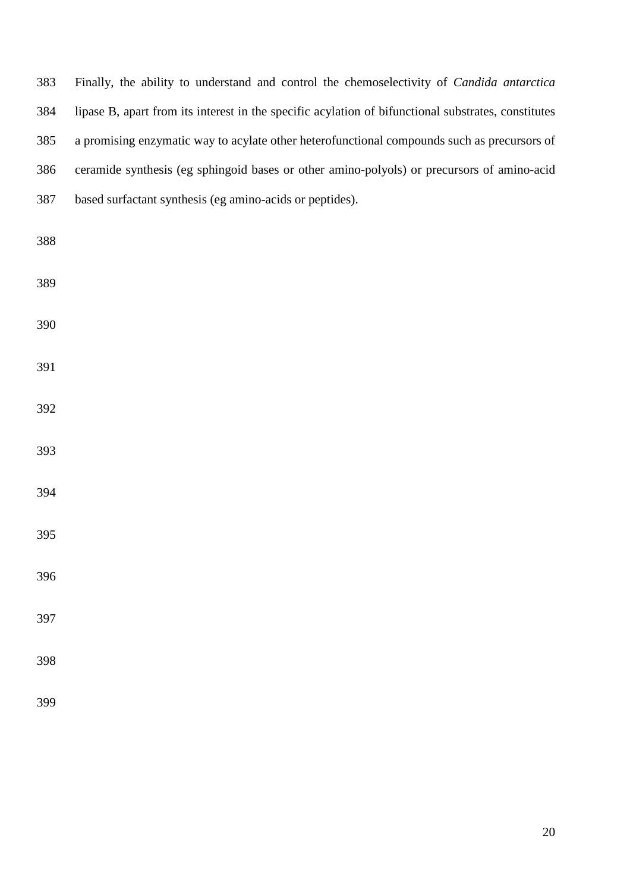383 Finally, the ability to understand and control the chemoselectivity of *Candida antarctica* 384 lipase B, apart from its interest in the specific acylation of bifunctional substrates, constitutes 385 a promising enzymatic way to acylate other heterofunctional compounds such as precursors of 386 ceramide synthesis (eg sphingoid bases or other amino-polyols) or precursors of amino-acid 387 based surfactant synthesis (eg amino-acids or peptides).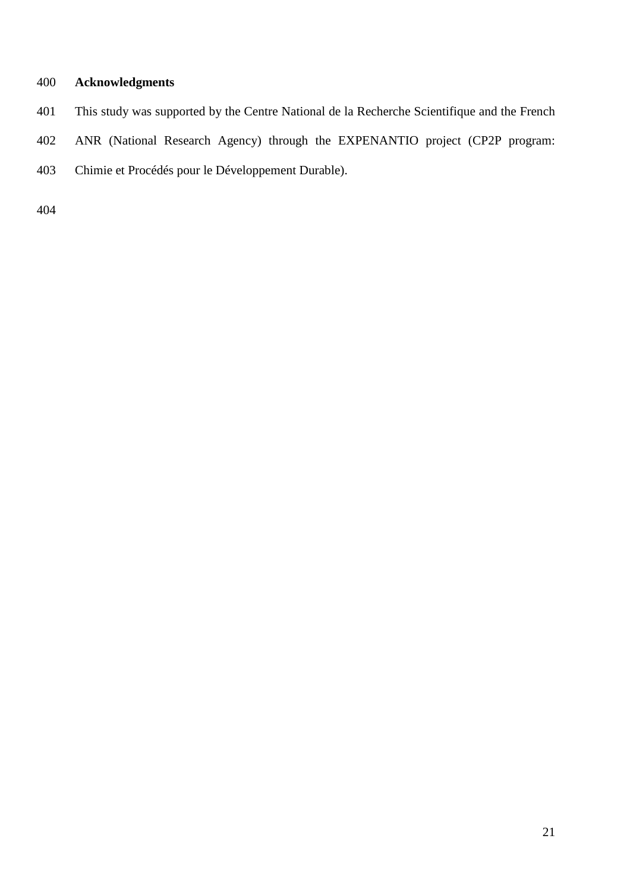### 400 **Acknowledgments**

- 401 This study was supported by the Centre National de la Recherche Scientifique and the French
- 402 ANR (National Research Agency) through the EXPENANTIO project (CP2P program:
- 403 Chimie et Procédés pour le Développement Durable).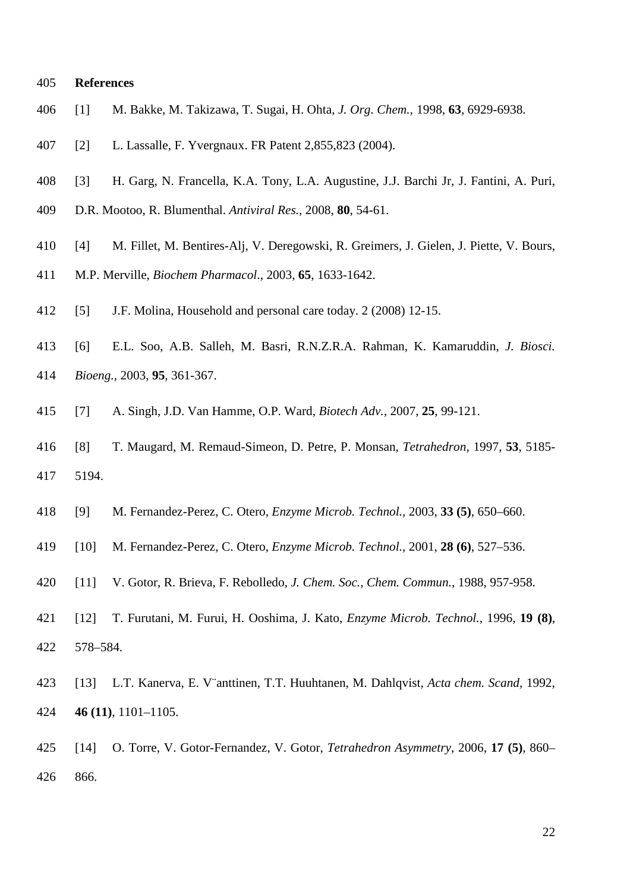#### 405 **References**

- 406 [1] M. Bakke, M. Takizawa, T. Sugai, H. Ohta, *J. Org. Chem.,* 1998, **63**, 6929-6938.
- 407 [2] L. Lassalle, F. Yvergnaux. FR Patent 2,855,823 (2004).
- 408 [3] H. Garg, N. Francella, K.A. Tony, L.A. Augustine, J.J. Barchi Jr, J. Fantini, A. Puri,
- 409 D.R. Mootoo, R. Blumenthal. *Antiviral Res.,* 2008, **80**, 54-61.
- 410 [4] M. Fillet, M. Bentires-Alj, V. Deregowski, R. Greimers, J. Gielen, J. Piette, V. Bours,
- 411 M.P. Merville, *Biochem Pharmacol*., 2003, **65**, 1633-1642.
- 412 [5] J.F. Molina, Household and personal care today. 2 (2008) 12-15.
- 413 [6] E.L. Soo, A.B. Salleh, M. Basri, R.N.Z.R.A. Rahman, K. Kamaruddin, *J. Biosci.*
- 414 *Bioeng.,* 2003, **95**, 361-367.
- 415 [7] A. Singh, J.D. Van Hamme, O.P. Ward, *Biotech Adv.,* 2007, **25**, 99-121.
- 416 [8] T. Maugard, M. Remaud-Simeon, D. Petre, P. Monsan, *Tetrahedron*, 1997, **53**, 5185- 417 5194.
- 418 [9] M. Fernandez-Perez, C. Otero, *Enzyme Microb. Technol.,* 2003, **33 (5)**, 650–660.
- 419 [10] M. Fernandez-Perez, C. Otero, *Enzyme Microb. Technol.,* 2001, **28 (6)**, 527–536.
- 420 [11] V. Gotor, R. Brieva, F. Rebolledo, *J. Chem. Soc., Chem. Commun.,* 1988, 957-958.
- 421 [12] T. Furutani, M. Furui, H. Ooshima, J. Kato, *Enzyme Microb. Technol.,* 1996, **19 (8)**, 422 578–584.
- 423 [13] L.T. Kanerva, E. V¨anttinen, T.T. Huuhtanen, M. Dahlqvist, *Acta chem. Scand,* 1992, 424 **46 (11)**, 1101–1105.
- 425 [14] O. Torre, V. Gotor-Fernandez, V. Gotor, *Tetrahedron Asymmetry*, 2006, **17 (5)**, 860– 426 866.